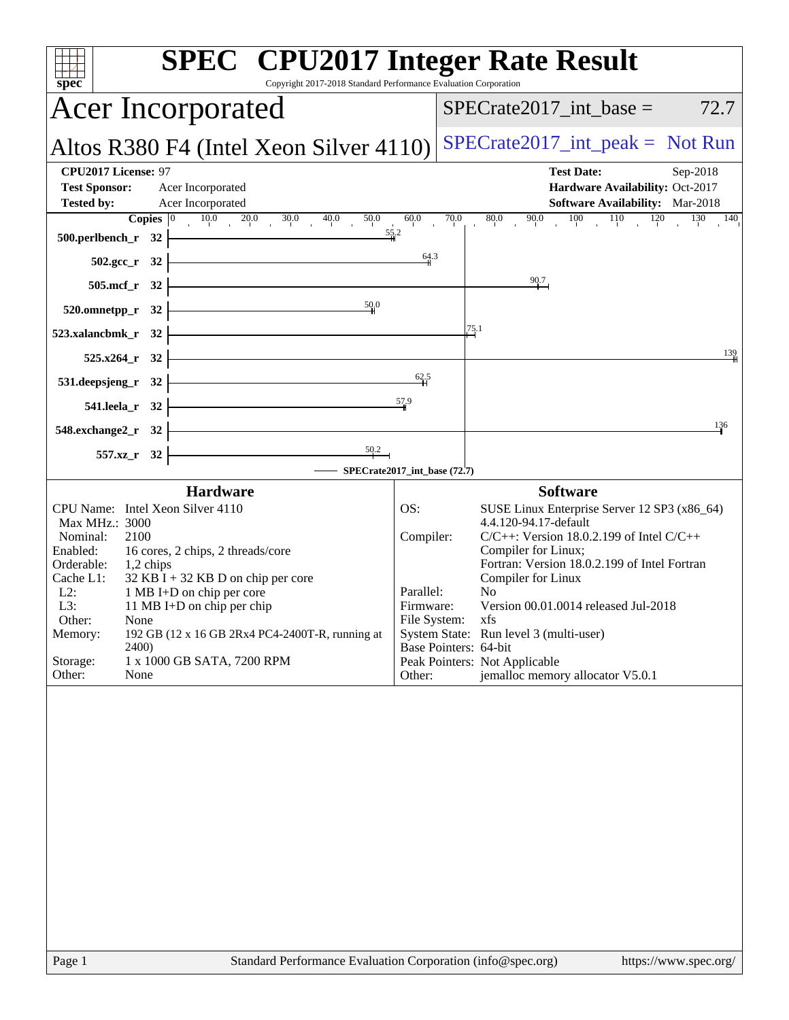| $spec^*$                                                                                                                                                                                                                                                                                                                                                                                                                                 | <b>SPEC<sup>®</sup></b> CPU2017 Integer Rate Result<br>Copyright 2017-2018 Standard Performance Evaluation Corporation                                                                                                                                                                                                                                                                                                                                                                            |
|------------------------------------------------------------------------------------------------------------------------------------------------------------------------------------------------------------------------------------------------------------------------------------------------------------------------------------------------------------------------------------------------------------------------------------------|---------------------------------------------------------------------------------------------------------------------------------------------------------------------------------------------------------------------------------------------------------------------------------------------------------------------------------------------------------------------------------------------------------------------------------------------------------------------------------------------------|
| <b>Acer Incorporated</b>                                                                                                                                                                                                                                                                                                                                                                                                                 | $SPECrate2017\_int\_base =$<br>72.7                                                                                                                                                                                                                                                                                                                                                                                                                                                               |
| Altos R380 F4 (Intel Xeon Silver 4110)                                                                                                                                                                                                                                                                                                                                                                                                   | $SPECTate2017\_int\_peak = Not Run$                                                                                                                                                                                                                                                                                                                                                                                                                                                               |
| <b>CPU2017 License: 97</b><br><b>Test Sponsor:</b><br>Acer Incorporated<br><b>Tested by:</b><br>Acer Incorporated<br>$10.0$ $20.0$ $30.0$ $40.0$<br>Copies $ 0 $<br>50.0<br>500.perlbench_r 32                                                                                                                                                                                                                                           | <b>Test Date:</b><br>Sep-2018<br>Hardware Availability: Oct-2017<br>Software Availability: Mar-2018<br>70.0<br>$100$ $110$ $120$ $130$ $140$<br>60.0<br>80.0<br>90.0<br>55.2                                                                                                                                                                                                                                                                                                                      |
| 502.gcc_r 32                                                                                                                                                                                                                                                                                                                                                                                                                             | 64.3                                                                                                                                                                                                                                                                                                                                                                                                                                                                                              |
| 505.mcf_r 32                                                                                                                                                                                                                                                                                                                                                                                                                             | 90.7                                                                                                                                                                                                                                                                                                                                                                                                                                                                                              |
| 50.0<br>520.omnetpp_r 32                                                                                                                                                                                                                                                                                                                                                                                                                 | 25.1                                                                                                                                                                                                                                                                                                                                                                                                                                                                                              |
| 523.xalancbmk_r 32<br>525.x264_r 32                                                                                                                                                                                                                                                                                                                                                                                                      | 139                                                                                                                                                                                                                                                                                                                                                                                                                                                                                               |
| 531.deepsjeng_r 32                                                                                                                                                                                                                                                                                                                                                                                                                       | 62.5                                                                                                                                                                                                                                                                                                                                                                                                                                                                                              |
| 541.leela_r 32                                                                                                                                                                                                                                                                                                                                                                                                                           | $\frac{57.9}{5}$                                                                                                                                                                                                                                                                                                                                                                                                                                                                                  |
| 548.exchange2_r 32                                                                                                                                                                                                                                                                                                                                                                                                                       | 136                                                                                                                                                                                                                                                                                                                                                                                                                                                                                               |
| 557.xz_r 32                                                                                                                                                                                                                                                                                                                                                                                                                              | SPECrate2017_int_base (72.7)                                                                                                                                                                                                                                                                                                                                                                                                                                                                      |
| <b>Hardware</b>                                                                                                                                                                                                                                                                                                                                                                                                                          | <b>Software</b>                                                                                                                                                                                                                                                                                                                                                                                                                                                                                   |
| CPU Name: Intel Xeon Silver 4110<br>Max MHz.: 3000<br>Nominal:<br>2100<br>Enabled:<br>16 cores, 2 chips, 2 threads/core<br>Orderable:<br>1,2 chips<br>$32$ KB I + 32 KB D on chip per core<br>Cache L1:<br>$L2$ :<br>1 MB I+D on chip per core<br>L3:<br>11 MB I+D on chip per chip<br>Other:<br>None<br>192 GB (12 x 16 GB 2Rx4 PC4-2400T-R, running at<br>Memory:<br>2400)<br>Storage:<br>1 x 1000 GB SATA, 7200 RPM<br>Other:<br>None | SUSE Linux Enterprise Server 12 SP3 (x86_64)<br>OS:<br>4.4.120-94.17-default<br>$C/C++$ : Version 18.0.2.199 of Intel $C/C++$<br>Compiler:<br>Compiler for Linux;<br>Fortran: Version 18.0.2.199 of Intel Fortran<br>Compiler for Linux<br>Parallel:<br>N <sub>0</sub><br>Version 00.01.0014 released Jul-2018<br>Firmware:<br>File System: xfs<br>System State: Run level 3 (multi-user)<br>Base Pointers: 64-bit<br>Peak Pointers: Not Applicable<br>jemalloc memory allocator V5.0.1<br>Other: |
| Page 1                                                                                                                                                                                                                                                                                                                                                                                                                                   | Standard Performance Evaluation Corporation (info@spec.org)<br>https://www.spec.org/                                                                                                                                                                                                                                                                                                                                                                                                              |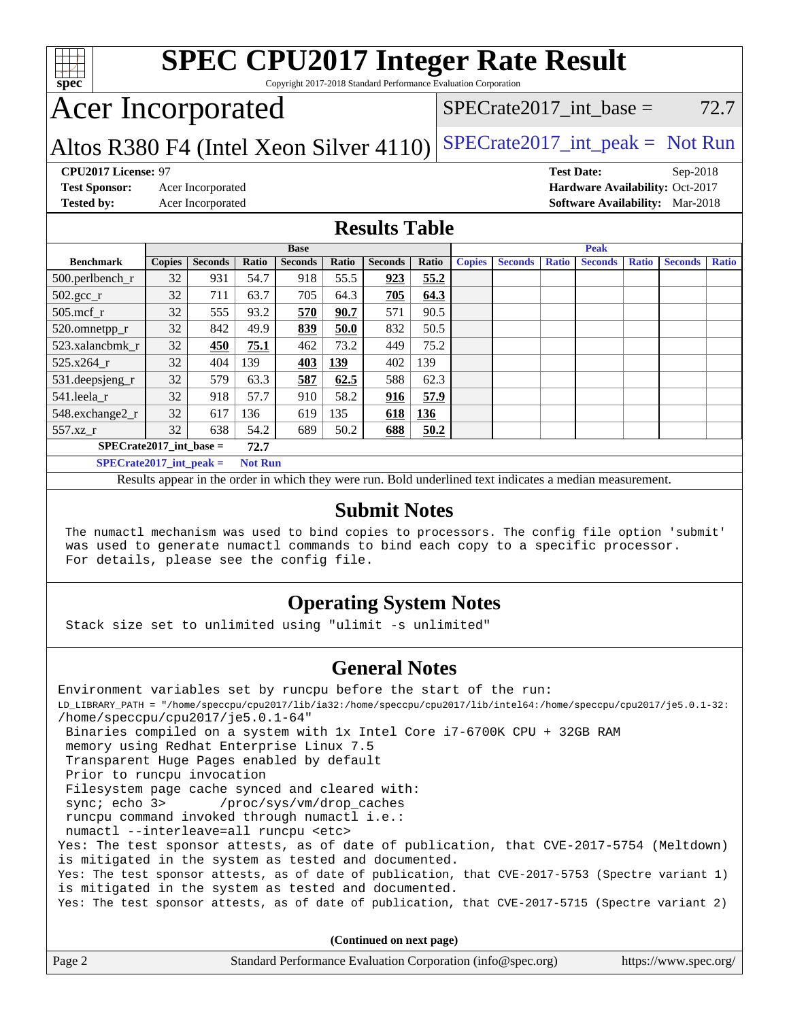

# **[SPEC CPU2017 Integer Rate Result](http://www.spec.org/auto/cpu2017/Docs/result-fields.html#SPECCPU2017IntegerRateResult)**

Copyright 2017-2018 Standard Performance Evaluation Corporation

# Acer Incorporated

#### $SPECTate2017\_int\_base = 72.7$

### Altos R380 F4 (Intel Xeon Silver  $4110$ ) [SPECrate2017\\_int\\_peak =](http://www.spec.org/auto/cpu2017/Docs/result-fields.html#SPECrate2017intpeak) Not Run

**[CPU2017 License:](http://www.spec.org/auto/cpu2017/Docs/result-fields.html#CPU2017License)** 97 **[Test Date:](http://www.spec.org/auto/cpu2017/Docs/result-fields.html#TestDate)** Sep-2018 **[Test Sponsor:](http://www.spec.org/auto/cpu2017/Docs/result-fields.html#TestSponsor)** Acer Incorporated **[Hardware Availability:](http://www.spec.org/auto/cpu2017/Docs/result-fields.html#HardwareAvailability)** Oct-2017 **[Tested by:](http://www.spec.org/auto/cpu2017/Docs/result-fields.html#Testedby)** Acer Incorporated **[Software Availability:](http://www.spec.org/auto/cpu2017/Docs/result-fields.html#SoftwareAvailability)** Mar-2018

#### **[Results Table](http://www.spec.org/auto/cpu2017/Docs/result-fields.html#ResultsTable)**

|                                             | <b>Base</b>   |                |       |                |       | <b>Peak</b>    |       |               |                |              |                |              |                |              |
|---------------------------------------------|---------------|----------------|-------|----------------|-------|----------------|-------|---------------|----------------|--------------|----------------|--------------|----------------|--------------|
| <b>Benchmark</b>                            | <b>Copies</b> | <b>Seconds</b> | Ratio | <b>Seconds</b> | Ratio | <b>Seconds</b> | Ratio | <b>Copies</b> | <b>Seconds</b> | <b>Ratio</b> | <b>Seconds</b> | <b>Ratio</b> | <b>Seconds</b> | <b>Ratio</b> |
| $500.$ perlbench_r                          | 32            | 931            | 54.7  | 918            | 55.5  | 923            | 55.2  |               |                |              |                |              |                |              |
| $502.\text{sec}\text{r}$                    | 32            | 711            | 63.7  | 705            | 64.3  | 705            | 64.3  |               |                |              |                |              |                |              |
| $505$ .mcf_r                                | 32            | 555            | 93.2  | 570            | 90.7  | 571            | 90.5  |               |                |              |                |              |                |              |
| 520.omnetpp_r                               | 32            | 842            | 49.9  | 839            | 50.0  | 832            | 50.5  |               |                |              |                |              |                |              |
| 523.xalancbmk r                             | 32            | 450            | 75.1  | 462            | 73.2  | 449            | 75.2  |               |                |              |                |              |                |              |
| 525.x264 r                                  | 32            | 404            | 139   | 403            | 139   | 402            | 139   |               |                |              |                |              |                |              |
| 531.deepsjeng_r                             | 32            | 579            | 63.3  | 587            | 62.5  | 588            | 62.3  |               |                |              |                |              |                |              |
| 541.leela r                                 | 32            | 918            | 57.7  | 910            | 58.2  | 916            | 57.9  |               |                |              |                |              |                |              |
| 548.exchange2_r                             | 32            | 617            | 136   | 619            | 135   | 618            | 136   |               |                |              |                |              |                |              |
| 557.xz r                                    | 32            | 638            | 54.2  | 689            | 50.2  | 688            | 50.2  |               |                |              |                |              |                |              |
| $SPECrate2017$ int base =<br>72.7           |               |                |       |                |       |                |       |               |                |              |                |              |                |              |
| $SPECrate2017$ int peak =<br><b>Not Run</b> |               |                |       |                |       |                |       |               |                |              |                |              |                |              |

Results appear in the [order in which they were run.](http://www.spec.org/auto/cpu2017/Docs/result-fields.html#RunOrder) Bold underlined text [indicates a median measurement.](http://www.spec.org/auto/cpu2017/Docs/result-fields.html#Median)

#### **[Submit Notes](http://www.spec.org/auto/cpu2017/Docs/result-fields.html#SubmitNotes)**

 The numactl mechanism was used to bind copies to processors. The config file option 'submit' was used to generate numactl commands to bind each copy to a specific processor. For details, please see the config file.

#### **[Operating System Notes](http://www.spec.org/auto/cpu2017/Docs/result-fields.html#OperatingSystemNotes)**

Stack size set to unlimited using "ulimit -s unlimited"

#### **[General Notes](http://www.spec.org/auto/cpu2017/Docs/result-fields.html#GeneralNotes)**

Environment variables set by runcpu before the start of the run: LD\_LIBRARY\_PATH = "/home/speccpu/cpu2017/lib/ia32:/home/speccpu/cpu2017/lib/intel64:/home/speccpu/cpu2017/je5.0.1-32: /home/speccpu/cpu2017/je5.0.1-64" Binaries compiled on a system with 1x Intel Core i7-6700K CPU + 32GB RAM memory using Redhat Enterprise Linux 7.5 Transparent Huge Pages enabled by default Prior to runcpu invocation Filesystem page cache synced and cleared with: sync; echo 3> /proc/sys/vm/drop\_caches runcpu command invoked through numactl i.e.: numactl --interleave=all runcpu <etc> Yes: The test sponsor attests, as of date of publication, that CVE-2017-5754 (Meltdown) is mitigated in the system as tested and documented. Yes: The test sponsor attests, as of date of publication, that CVE-2017-5753 (Spectre variant 1) is mitigated in the system as tested and documented. Yes: The test sponsor attests, as of date of publication, that CVE-2017-5715 (Spectre variant 2)

**(Continued on next page)**

| Page 2 | Standard Performance Evaluation Corporation (info@spec.org) | https://www.spec.org/ |
|--------|-------------------------------------------------------------|-----------------------|
|        |                                                             |                       |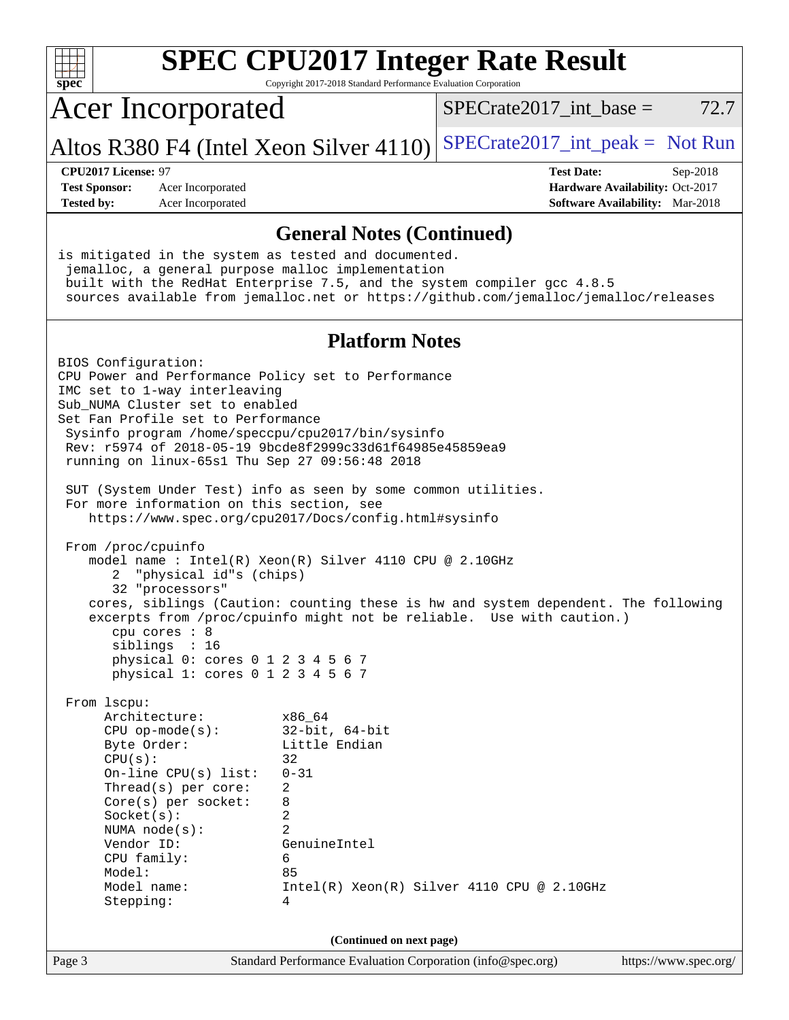| $spec^*$                                                                                                                                                                                                                                                                                                                                                                                                                                                                                                                                                                                                                                                                                                                                                                                                                                                                                                                                         | Copyright 2017-2018 Standard Performance Evaluation Corporation                                                                            | <b>SPEC CPU2017 Integer Rate Result</b>      |                                                                                       |
|--------------------------------------------------------------------------------------------------------------------------------------------------------------------------------------------------------------------------------------------------------------------------------------------------------------------------------------------------------------------------------------------------------------------------------------------------------------------------------------------------------------------------------------------------------------------------------------------------------------------------------------------------------------------------------------------------------------------------------------------------------------------------------------------------------------------------------------------------------------------------------------------------------------------------------------------------|--------------------------------------------------------------------------------------------------------------------------------------------|----------------------------------------------|---------------------------------------------------------------------------------------|
| <b>Acer Incorporated</b>                                                                                                                                                                                                                                                                                                                                                                                                                                                                                                                                                                                                                                                                                                                                                                                                                                                                                                                         |                                                                                                                                            | $SPECrate2017$ _int_base =                   | 72.7                                                                                  |
| Altos R380 F4 (Intel Xeon Silver 4110)                                                                                                                                                                                                                                                                                                                                                                                                                                                                                                                                                                                                                                                                                                                                                                                                                                                                                                           |                                                                                                                                            | $SPECrate2017\_int\_peak = Not Run$          |                                                                                       |
| CPU2017 License: 97<br><b>Test Sponsor:</b><br>Acer Incorporated<br><b>Tested by:</b><br>Acer Incorporated                                                                                                                                                                                                                                                                                                                                                                                                                                                                                                                                                                                                                                                                                                                                                                                                                                       |                                                                                                                                            | <b>Test Date:</b>                            | Sep-2018<br>Hardware Availability: Oct-2017<br><b>Software Availability:</b> Mar-2018 |
|                                                                                                                                                                                                                                                                                                                                                                                                                                                                                                                                                                                                                                                                                                                                                                                                                                                                                                                                                  | <b>General Notes (Continued)</b>                                                                                                           |                                              |                                                                                       |
| is mitigated in the system as tested and documented.<br>jemalloc, a general purpose malloc implementation<br>built with the RedHat Enterprise 7.5, and the system compiler gcc 4.8.5<br>sources available from jemalloc.net or https://github.com/jemalloc/jemalloc/releases                                                                                                                                                                                                                                                                                                                                                                                                                                                                                                                                                                                                                                                                     |                                                                                                                                            |                                              |                                                                                       |
|                                                                                                                                                                                                                                                                                                                                                                                                                                                                                                                                                                                                                                                                                                                                                                                                                                                                                                                                                  | <b>Platform Notes</b>                                                                                                                      |                                              |                                                                                       |
| BIOS Configuration:<br>CPU Power and Performance Policy set to Performance<br>IMC set to 1-way interleaving<br>Sub NUMA Cluster set to enabled<br>Set Fan Profile set to Performance<br>Sysinfo program /home/speccpu/cpu2017/bin/sysinfo<br>Rev: r5974 of 2018-05-19 9bcde8f2999c33d61f64985e45859ea9<br>running on linux-65s1 Thu Sep 27 09:56:48 2018<br>SUT (System Under Test) info as seen by some common utilities.<br>For more information on this section, see<br>https://www.spec.org/cpu2017/Docs/config.html#sysinfo<br>From /proc/cpuinfo<br>model name : Intel(R) Xeon(R) Silver 4110 CPU @ 2.10GHz<br>"physical id"s (chips)<br>2<br>32 "processors"<br>cores, siblings (Caution: counting these is hw and system dependent. The following<br>excerpts from /proc/cpuinfo might not be reliable. Use with caution.)<br>cpu cores $: 8$<br>siblings : 16<br>physical 0: cores 0 1 2 3 4 5 6 7<br>physical 1: cores 0 1 2 3 4 5 6 7 |                                                                                                                                            |                                              |                                                                                       |
| From lscpu:<br>Architecture:<br>$CPU$ op-mode( $s$ ):<br>Byte Order:<br>CPU(s):<br>On-line CPU(s) list:<br>Thread(s) per core:<br>Core(s) per socket:<br>8<br>Socket(s):<br>NUMA $node(s):$<br>Vendor ID:<br>CPU family:<br>Model:<br>Model name:<br>Stepping:                                                                                                                                                                                                                                                                                                                                                                                                                                                                                                                                                                                                                                                                                   | x86_64<br>$32$ -bit, $64$ -bit<br>Little Endian<br>32<br>$0 - 31$<br>2<br>$\overline{c}$<br>$\overline{2}$<br>GenuineIntel<br>6<br>85<br>4 | $Intel(R) Xeon(R) Silver 4110 CPU @ 2.10GHz$ |                                                                                       |
| Page 3                                                                                                                                                                                                                                                                                                                                                                                                                                                                                                                                                                                                                                                                                                                                                                                                                                                                                                                                           | (Continued on next page)<br>Standard Performance Evaluation Corporation (info@spec.org)                                                    |                                              | https://www.spec.org/                                                                 |
|                                                                                                                                                                                                                                                                                                                                                                                                                                                                                                                                                                                                                                                                                                                                                                                                                                                                                                                                                  |                                                                                                                                            |                                              |                                                                                       |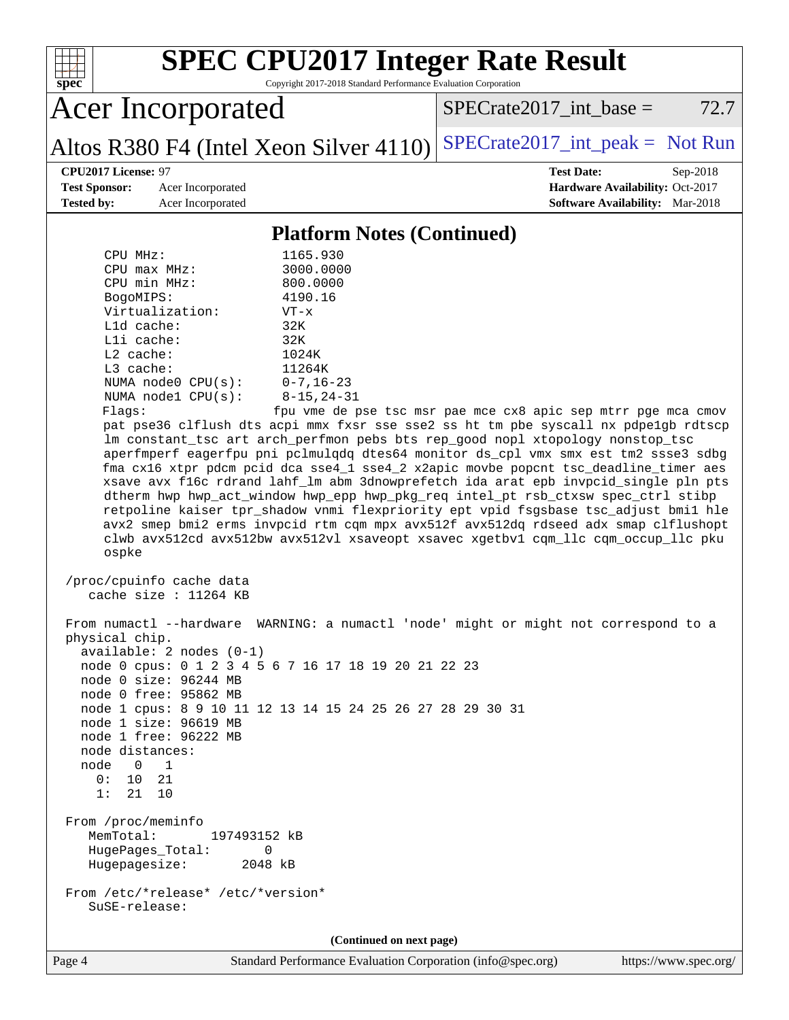| $spec^*$                                                                                                                                           |                                                                                                                                                | Copyright 2017-2018 Standard Performance Evaluation Corporation                                                                    | <b>SPEC CPU2017 Integer Rate Result</b>                                                                                                                                                                                                                                                                                                                                                                                                                                                                                                                                                                                                                                                                                                                                                                                                                                                                                                                   |                                                                                       |  |
|----------------------------------------------------------------------------------------------------------------------------------------------------|------------------------------------------------------------------------------------------------------------------------------------------------|------------------------------------------------------------------------------------------------------------------------------------|-----------------------------------------------------------------------------------------------------------------------------------------------------------------------------------------------------------------------------------------------------------------------------------------------------------------------------------------------------------------------------------------------------------------------------------------------------------------------------------------------------------------------------------------------------------------------------------------------------------------------------------------------------------------------------------------------------------------------------------------------------------------------------------------------------------------------------------------------------------------------------------------------------------------------------------------------------------|---------------------------------------------------------------------------------------|--|
|                                                                                                                                                    | <b>Acer Incorporated</b>                                                                                                                       |                                                                                                                                    | $SPECrate2017\_int\_base =$                                                                                                                                                                                                                                                                                                                                                                                                                                                                                                                                                                                                                                                                                                                                                                                                                                                                                                                               | 72.7                                                                                  |  |
|                                                                                                                                                    |                                                                                                                                                | Altos R380 F4 (Intel Xeon Silver 4110)                                                                                             | $SPECTate2017\_int\_peak = Not Run$                                                                                                                                                                                                                                                                                                                                                                                                                                                                                                                                                                                                                                                                                                                                                                                                                                                                                                                       |                                                                                       |  |
| CPU2017 License: 97<br><b>Test Sponsor:</b><br><b>Tested by:</b>                                                                                   | Acer Incorporated<br>Acer Incorporated                                                                                                         |                                                                                                                                    | <b>Test Date:</b>                                                                                                                                                                                                                                                                                                                                                                                                                                                                                                                                                                                                                                                                                                                                                                                                                                                                                                                                         | Sep-2018<br>Hardware Availability: Oct-2017<br><b>Software Availability:</b> Mar-2018 |  |
| <b>Platform Notes (Continued)</b>                                                                                                                  |                                                                                                                                                |                                                                                                                                    |                                                                                                                                                                                                                                                                                                                                                                                                                                                                                                                                                                                                                                                                                                                                                                                                                                                                                                                                                           |                                                                                       |  |
| CPU MHz:<br>CPU max MHz:<br>CPU min MHz:<br>BogoMIPS:<br>Lld cache:<br>Lli cache:<br>$L2$ cache:<br>L3 cache:<br>Flags:<br>ospke<br>physical chip. | Virtualization:<br>NUMA node0 CPU(s):<br>NUMA nodel CPU(s):<br>/proc/cpuinfo cache data<br>cache size : 11264 KB<br>$available: 2 nodes (0-1)$ | 1165.930<br>3000.0000<br>800.0000<br>4190.16<br>$VT - x$<br>32K<br>32K<br>1024K<br>11264K<br>$0 - 7, 16 - 23$<br>$8 - 15, 24 - 31$ | fpu vme de pse tsc msr pae mce cx8 apic sep mtrr pge mca cmov<br>pat pse36 clflush dts acpi mmx fxsr sse sse2 ss ht tm pbe syscall nx pdpe1gb rdtscp<br>lm constant_tsc art arch_perfmon pebs bts rep_good nopl xtopology nonstop_tsc<br>aperfmperf eagerfpu pni pclmulqdq dtes64 monitor ds_cpl vmx smx est tm2 ssse3 sdbg<br>fma cx16 xtpr pdcm pcid dca sse4_1 sse4_2 x2apic movbe popcnt tsc_deadline_timer aes<br>xsave avx f16c rdrand lahf_lm abm 3dnowprefetch ida arat epb invpcid_single pln pts<br>dtherm hwp hwp_act_window hwp_epp hwp_pkg_req intel_pt rsb_ctxsw spec_ctrl stibp<br>retpoline kaiser tpr_shadow vnmi flexpriority ept vpid fsgsbase tsc_adjust bmil hle<br>avx2 smep bmi2 erms invpcid rtm cqm mpx avx512f avx512dq rdseed adx smap clflushopt<br>clwb avx512cd avx512bw avx512vl xsaveopt xsavec xgetbvl cqm_llc cqm_occup_llc pku<br>From numactl --hardware WARNING: a numactl 'node' might or might not correspond to a |                                                                                       |  |
|                                                                                                                                                    | node 0 size: 96244 MB<br>node 0 free: 95862 MB                                                                                                 | node 0 cpus: 0 1 2 3 4 5 6 7 16 17 18 19 20 21 22 23<br>node 1 cpus: 8 9 10 11 12 13 14 15 24 25 26 27 28 29 30 31                 |                                                                                                                                                                                                                                                                                                                                                                                                                                                                                                                                                                                                                                                                                                                                                                                                                                                                                                                                                           |                                                                                       |  |
| node distances:<br>node 0 1<br>0: 10<br>1: 21 10                                                                                                   | node 1 size: 96619 MB<br>node 1 free: 96222 MB<br>21                                                                                           |                                                                                                                                    |                                                                                                                                                                                                                                                                                                                                                                                                                                                                                                                                                                                                                                                                                                                                                                                                                                                                                                                                                           |                                                                                       |  |
| From /proc/meminfo<br>MemTotal:<br>HugePages_Total:                                                                                                | 197493152 kB<br>0<br>Hugepagesize: 2048 kB                                                                                                     |                                                                                                                                    |                                                                                                                                                                                                                                                                                                                                                                                                                                                                                                                                                                                                                                                                                                                                                                                                                                                                                                                                                           |                                                                                       |  |
| SuSE-release:                                                                                                                                      | From /etc/*release* /etc/*version*                                                                                                             |                                                                                                                                    |                                                                                                                                                                                                                                                                                                                                                                                                                                                                                                                                                                                                                                                                                                                                                                                                                                                                                                                                                           |                                                                                       |  |
|                                                                                                                                                    |                                                                                                                                                | (Continued on next page)                                                                                                           |                                                                                                                                                                                                                                                                                                                                                                                                                                                                                                                                                                                                                                                                                                                                                                                                                                                                                                                                                           |                                                                                       |  |
| Page 4                                                                                                                                             |                                                                                                                                                | Standard Performance Evaluation Corporation (info@spec.org)                                                                        |                                                                                                                                                                                                                                                                                                                                                                                                                                                                                                                                                                                                                                                                                                                                                                                                                                                                                                                                                           | https://www.spec.org/                                                                 |  |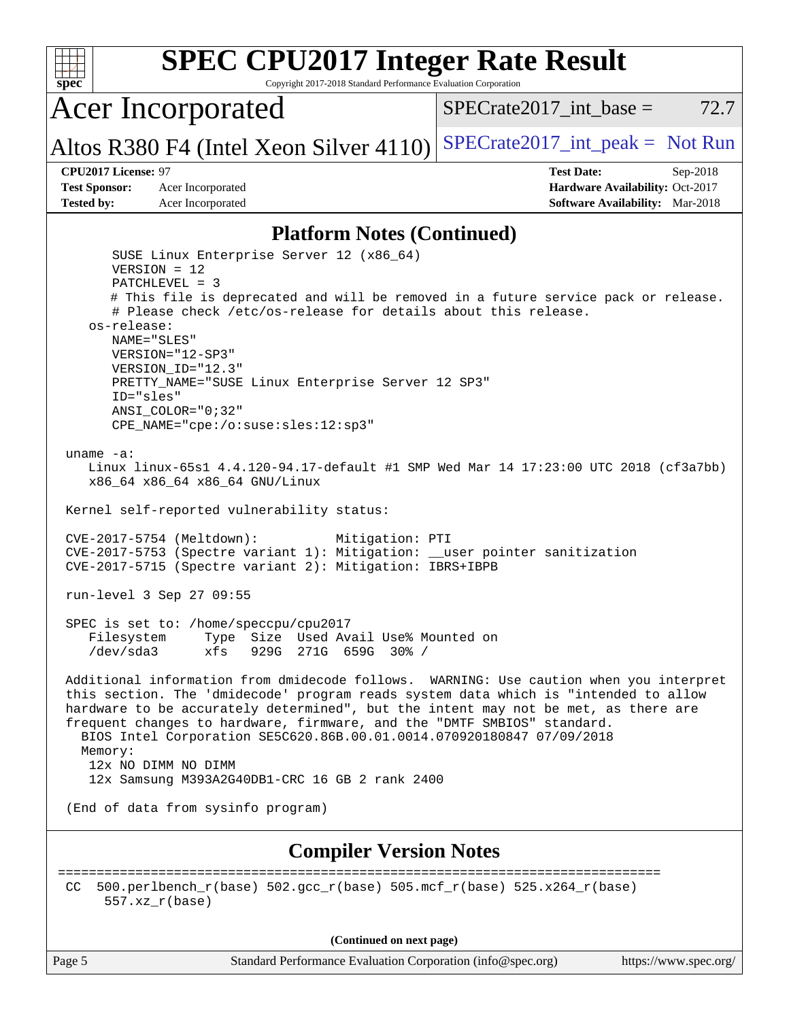

Page 5 Standard Performance Evaluation Corporation [\(info@spec.org\)](mailto:info@spec.org) <https://www.spec.org/>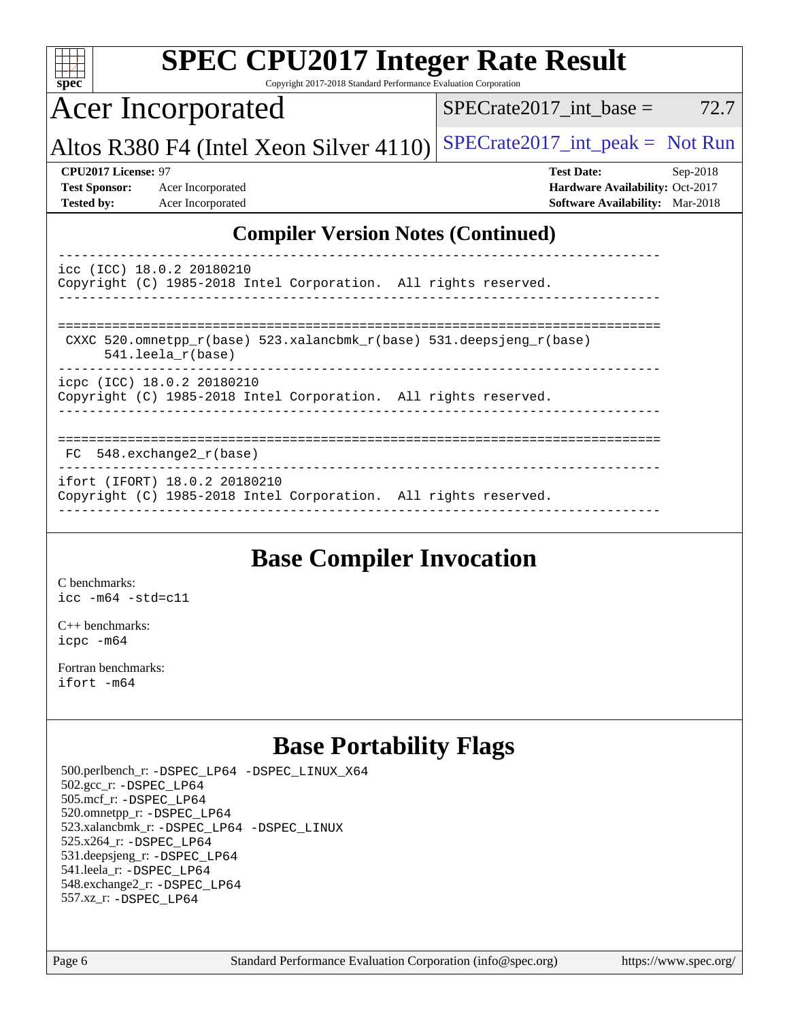| <b>SPEC CPU2017 Integer Rate Result</b><br>spec <sup>®</sup><br>Copyright 2017-2018 Standard Performance Evaluation Corporation |                                                                                                            |  |  |  |  |
|---------------------------------------------------------------------------------------------------------------------------------|------------------------------------------------------------------------------------------------------------|--|--|--|--|
| <b>Acer Incorporated</b>                                                                                                        | $SPECrate2017\_int\_base =$<br>72.7                                                                        |  |  |  |  |
| Altos R380 F4 (Intel Xeon Silver 4110)                                                                                          | $SPECrate2017\_int\_peak = Not Run$                                                                        |  |  |  |  |
| CPU2017 License: 97<br><b>Test Sponsor:</b><br>Acer Incorporated<br><b>Tested by:</b><br>Acer Incorporated                      | <b>Test Date:</b><br>Sep-2018<br>Hardware Availability: Oct-2017<br><b>Software Availability:</b> Mar-2018 |  |  |  |  |
| <b>Compiler Version Notes (Continued)</b>                                                                                       |                                                                                                            |  |  |  |  |
| icc (ICC) 18.0.2 20180210<br>Copyright (C) 1985-2018 Intel Corporation. All rights reserved.                                    |                                                                                                            |  |  |  |  |
| CXXC 520.omnetpp $r(base)$ 523.xalancbmk $r(base)$ 531.deepsjeng $r(base)$<br>$541.$ leela $r(base)$                            |                                                                                                            |  |  |  |  |
| icpc (ICC) 18.0.2 20180210<br>Copyright (C) 1985-2018 Intel Corporation. All rights reserved.                                   |                                                                                                            |  |  |  |  |
| 548.exchange2_r(base)<br>FC.                                                                                                    |                                                                                                            |  |  |  |  |
| ifort (IFORT) 18.0.2 20180210<br>Copyright (C) 1985-2018 Intel Corporation. All rights reserved.                                |                                                                                                            |  |  |  |  |

# **[Base Compiler Invocation](http://www.spec.org/auto/cpu2017/Docs/result-fields.html#BaseCompilerInvocation)**

[C benchmarks](http://www.spec.org/auto/cpu2017/Docs/result-fields.html#Cbenchmarks): [icc -m64 -std=c11](http://www.spec.org/cpu2017/results/res2018q4/cpu2017-20180927-08943.flags.html#user_CCbase_intel_icc_64bit_c11_33ee0cdaae7deeeab2a9725423ba97205ce30f63b9926c2519791662299b76a0318f32ddfffdc46587804de3178b4f9328c46fa7c2b0cd779d7a61945c91cd35)

[C++ benchmarks:](http://www.spec.org/auto/cpu2017/Docs/result-fields.html#CXXbenchmarks) [icpc -m64](http://www.spec.org/cpu2017/results/res2018q4/cpu2017-20180927-08943.flags.html#user_CXXbase_intel_icpc_64bit_4ecb2543ae3f1412ef961e0650ca070fec7b7afdcd6ed48761b84423119d1bf6bdf5cad15b44d48e7256388bc77273b966e5eb805aefd121eb22e9299b2ec9d9)

[Fortran benchmarks](http://www.spec.org/auto/cpu2017/Docs/result-fields.html#Fortranbenchmarks): [ifort -m64](http://www.spec.org/cpu2017/results/res2018q4/cpu2017-20180927-08943.flags.html#user_FCbase_intel_ifort_64bit_24f2bb282fbaeffd6157abe4f878425411749daecae9a33200eee2bee2fe76f3b89351d69a8130dd5949958ce389cf37ff59a95e7a40d588e8d3a57e0c3fd751)

## **[Base Portability Flags](http://www.spec.org/auto/cpu2017/Docs/result-fields.html#BasePortabilityFlags)**

 500.perlbench\_r: [-DSPEC\\_LP64](http://www.spec.org/cpu2017/results/res2018q4/cpu2017-20180927-08943.flags.html#b500.perlbench_r_basePORTABILITY_DSPEC_LP64) [-DSPEC\\_LINUX\\_X64](http://www.spec.org/cpu2017/results/res2018q4/cpu2017-20180927-08943.flags.html#b500.perlbench_r_baseCPORTABILITY_DSPEC_LINUX_X64) 502.gcc\_r: [-DSPEC\\_LP64](http://www.spec.org/cpu2017/results/res2018q4/cpu2017-20180927-08943.flags.html#suite_basePORTABILITY502_gcc_r_DSPEC_LP64) 505.mcf\_r: [-DSPEC\\_LP64](http://www.spec.org/cpu2017/results/res2018q4/cpu2017-20180927-08943.flags.html#suite_basePORTABILITY505_mcf_r_DSPEC_LP64) 520.omnetpp\_r: [-DSPEC\\_LP64](http://www.spec.org/cpu2017/results/res2018q4/cpu2017-20180927-08943.flags.html#suite_basePORTABILITY520_omnetpp_r_DSPEC_LP64) 523.xalancbmk\_r: [-DSPEC\\_LP64](http://www.spec.org/cpu2017/results/res2018q4/cpu2017-20180927-08943.flags.html#suite_basePORTABILITY523_xalancbmk_r_DSPEC_LP64) [-DSPEC\\_LINUX](http://www.spec.org/cpu2017/results/res2018q4/cpu2017-20180927-08943.flags.html#b523.xalancbmk_r_baseCXXPORTABILITY_DSPEC_LINUX) 525.x264\_r: [-DSPEC\\_LP64](http://www.spec.org/cpu2017/results/res2018q4/cpu2017-20180927-08943.flags.html#suite_basePORTABILITY525_x264_r_DSPEC_LP64) 531.deepsjeng\_r: [-DSPEC\\_LP64](http://www.spec.org/cpu2017/results/res2018q4/cpu2017-20180927-08943.flags.html#suite_basePORTABILITY531_deepsjeng_r_DSPEC_LP64) 541.leela\_r: [-DSPEC\\_LP64](http://www.spec.org/cpu2017/results/res2018q4/cpu2017-20180927-08943.flags.html#suite_basePORTABILITY541_leela_r_DSPEC_LP64) 548.exchange2\_r: [-DSPEC\\_LP64](http://www.spec.org/cpu2017/results/res2018q4/cpu2017-20180927-08943.flags.html#suite_basePORTABILITY548_exchange2_r_DSPEC_LP64) 557.xz\_r: [-DSPEC\\_LP64](http://www.spec.org/cpu2017/results/res2018q4/cpu2017-20180927-08943.flags.html#suite_basePORTABILITY557_xz_r_DSPEC_LP64)